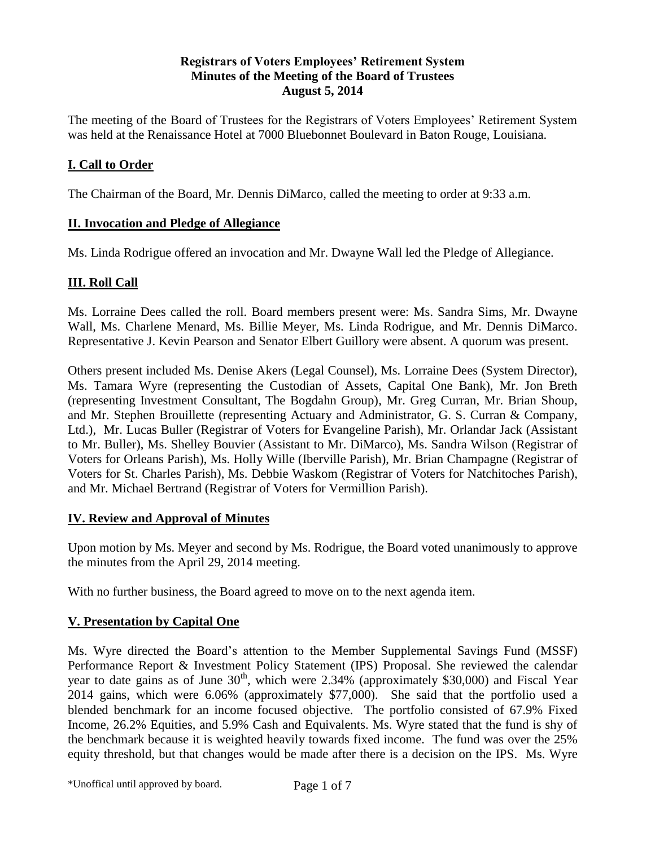### **Registrars of Voters Employees' Retirement System Minutes of the Meeting of the Board of Trustees August 5, 2014**

The meeting of the Board of Trustees for the Registrars of Voters Employees' Retirement System was held at the Renaissance Hotel at 7000 Bluebonnet Boulevard in Baton Rouge, Louisiana.

## **I. Call to Order**

The Chairman of the Board, Mr. Dennis DiMarco, called the meeting to order at 9:33 a.m.

## **II. Invocation and Pledge of Allegiance**

Ms. Linda Rodrigue offered an invocation and Mr. Dwayne Wall led the Pledge of Allegiance.

# **III. Roll Call**

Ms. Lorraine Dees called the roll. Board members present were: Ms. Sandra Sims, Mr. Dwayne Wall, Ms. Charlene Menard, Ms. Billie Meyer, Ms. Linda Rodrigue, and Mr. Dennis DiMarco. Representative J. Kevin Pearson and Senator Elbert Guillory were absent. A quorum was present.

Others present included Ms. Denise Akers (Legal Counsel), Ms. Lorraine Dees (System Director), Ms. Tamara Wyre (representing the Custodian of Assets, Capital One Bank), Mr. Jon Breth (representing Investment Consultant, The Bogdahn Group), Mr. Greg Curran, Mr. Brian Shoup, and Mr. Stephen Brouillette (representing Actuary and Administrator, G. S. Curran & Company, Ltd.), Mr. Lucas Buller (Registrar of Voters for Evangeline Parish), Mr. Orlandar Jack (Assistant to Mr. Buller), Ms. Shelley Bouvier (Assistant to Mr. DiMarco), Ms. Sandra Wilson (Registrar of Voters for Orleans Parish), Ms. Holly Wille (Iberville Parish), Mr. Brian Champagne (Registrar of Voters for St. Charles Parish), Ms. Debbie Waskom (Registrar of Voters for Natchitoches Parish), and Mr. Michael Bertrand (Registrar of Voters for Vermillion Parish).

### **IV. Review and Approval of Minutes**

Upon motion by Ms. Meyer and second by Ms. Rodrigue, the Board voted unanimously to approve the minutes from the April 29, 2014 meeting.

With no further business, the Board agreed to move on to the next agenda item.

# **V. Presentation by Capital One**

Ms. Wyre directed the Board's attention to the Member Supplemental Savings Fund (MSSF) Performance Report & Investment Policy Statement (IPS) Proposal. She reviewed the calendar year to date gains as of June  $30<sup>th</sup>$ , which were 2.34% (approximately \$30,000) and Fiscal Year 2014 gains, which were 6.06% (approximately \$77,000). She said that the portfolio used a blended benchmark for an income focused objective. The portfolio consisted of 67.9% Fixed Income, 26.2% Equities, and 5.9% Cash and Equivalents. Ms. Wyre stated that the fund is shy of the benchmark because it is weighted heavily towards fixed income. The fund was over the 25% equity threshold, but that changes would be made after there is a decision on the IPS. Ms. Wyre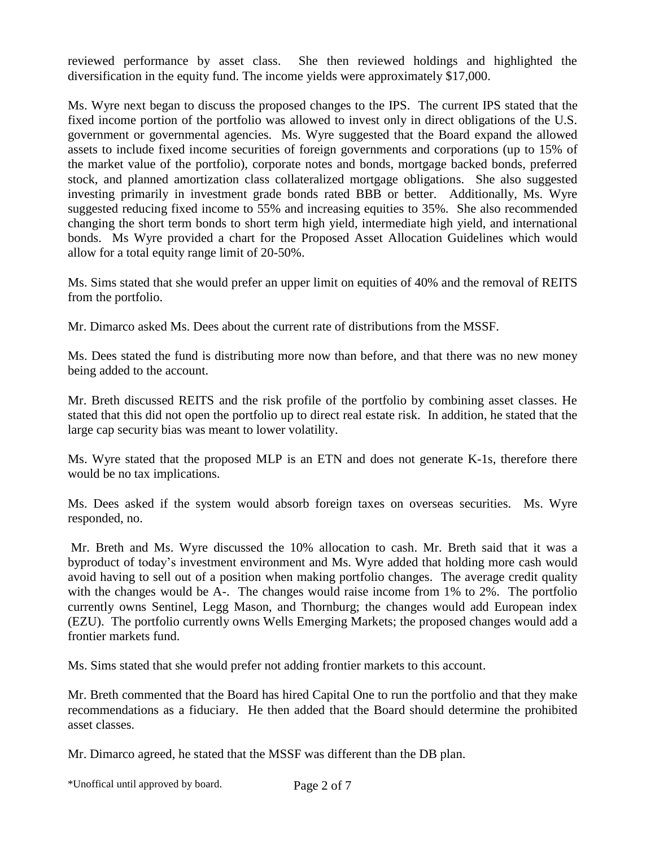reviewed performance by asset class. She then reviewed holdings and highlighted the diversification in the equity fund. The income yields were approximately \$17,000.

Ms. Wyre next began to discuss the proposed changes to the IPS. The current IPS stated that the fixed income portion of the portfolio was allowed to invest only in direct obligations of the U.S. government or governmental agencies. Ms. Wyre suggested that the Board expand the allowed assets to include fixed income securities of foreign governments and corporations (up to 15% of the market value of the portfolio), corporate notes and bonds, mortgage backed bonds, preferred stock, and planned amortization class collateralized mortgage obligations. She also suggested investing primarily in investment grade bonds rated BBB or better. Additionally, Ms. Wyre suggested reducing fixed income to 55% and increasing equities to 35%. She also recommended changing the short term bonds to short term high yield, intermediate high yield, and international bonds. Ms Wyre provided a chart for the Proposed Asset Allocation Guidelines which would allow for a total equity range limit of 20-50%.

Ms. Sims stated that she would prefer an upper limit on equities of 40% and the removal of REITS from the portfolio.

Mr. Dimarco asked Ms. Dees about the current rate of distributions from the MSSF.

Ms. Dees stated the fund is distributing more now than before, and that there was no new money being added to the account.

Mr. Breth discussed REITS and the risk profile of the portfolio by combining asset classes. He stated that this did not open the portfolio up to direct real estate risk. In addition, he stated that the large cap security bias was meant to lower volatility.

Ms. Wyre stated that the proposed MLP is an ETN and does not generate K-1s, therefore there would be no tax implications.

Ms. Dees asked if the system would absorb foreign taxes on overseas securities. Ms. Wyre responded, no.

Mr. Breth and Ms. Wyre discussed the 10% allocation to cash. Mr. Breth said that it was a byproduct of today's investment environment and Ms. Wyre added that holding more cash would avoid having to sell out of a position when making portfolio changes. The average credit quality with the changes would be A-. The changes would raise income from 1% to 2%. The portfolio currently owns Sentinel, Legg Mason, and Thornburg; the changes would add European index (EZU). The portfolio currently owns Wells Emerging Markets; the proposed changes would add a frontier markets fund.

Ms. Sims stated that she would prefer not adding frontier markets to this account.

Mr. Breth commented that the Board has hired Capital One to run the portfolio and that they make recommendations as a fiduciary. He then added that the Board should determine the prohibited asset classes.

Mr. Dimarco agreed, he stated that the MSSF was different than the DB plan.

\*Unoffical until approved by board. Page 2 of 7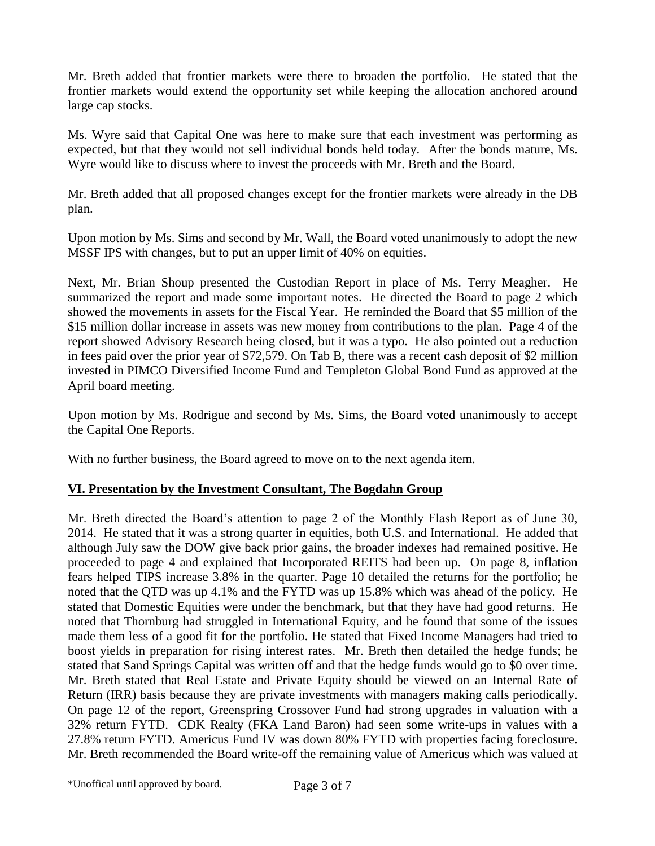Mr. Breth added that frontier markets were there to broaden the portfolio. He stated that the frontier markets would extend the opportunity set while keeping the allocation anchored around large cap stocks.

Ms. Wyre said that Capital One was here to make sure that each investment was performing as expected, but that they would not sell individual bonds held today. After the bonds mature, Ms. Wyre would like to discuss where to invest the proceeds with Mr. Breth and the Board.

Mr. Breth added that all proposed changes except for the frontier markets were already in the DB plan.

Upon motion by Ms. Sims and second by Mr. Wall, the Board voted unanimously to adopt the new MSSF IPS with changes, but to put an upper limit of 40% on equities.

Next, Mr. Brian Shoup presented the Custodian Report in place of Ms. Terry Meagher. He summarized the report and made some important notes. He directed the Board to page 2 which showed the movements in assets for the Fiscal Year. He reminded the Board that \$5 million of the \$15 million dollar increase in assets was new money from contributions to the plan. Page 4 of the report showed Advisory Research being closed, but it was a typo. He also pointed out a reduction in fees paid over the prior year of \$72,579. On Tab B, there was a recent cash deposit of \$2 million invested in PIMCO Diversified Income Fund and Templeton Global Bond Fund as approved at the April board meeting.

Upon motion by Ms. Rodrigue and second by Ms. Sims, the Board voted unanimously to accept the Capital One Reports.

With no further business, the Board agreed to move on to the next agenda item.

#### **VI. Presentation by the Investment Consultant, The Bogdahn Group**

Mr. Breth directed the Board's attention to page 2 of the Monthly Flash Report as of June 30, 2014. He stated that it was a strong quarter in equities, both U.S. and International. He added that although July saw the DOW give back prior gains, the broader indexes had remained positive. He proceeded to page 4 and explained that Incorporated REITS had been up. On page 8, inflation fears helped TIPS increase 3.8% in the quarter. Page 10 detailed the returns for the portfolio; he noted that the QTD was up 4.1% and the FYTD was up 15.8% which was ahead of the policy. He stated that Domestic Equities were under the benchmark, but that they have had good returns. He noted that Thornburg had struggled in International Equity, and he found that some of the issues made them less of a good fit for the portfolio. He stated that Fixed Income Managers had tried to boost yields in preparation for rising interest rates. Mr. Breth then detailed the hedge funds; he stated that Sand Springs Capital was written off and that the hedge funds would go to \$0 over time. Mr. Breth stated that Real Estate and Private Equity should be viewed on an Internal Rate of Return (IRR) basis because they are private investments with managers making calls periodically. On page 12 of the report, Greenspring Crossover Fund had strong upgrades in valuation with a 32% return FYTD. CDK Realty (FKA Land Baron) had seen some write-ups in values with a 27.8% return FYTD. Americus Fund IV was down 80% FYTD with properties facing foreclosure. Mr. Breth recommended the Board write-off the remaining value of Americus which was valued at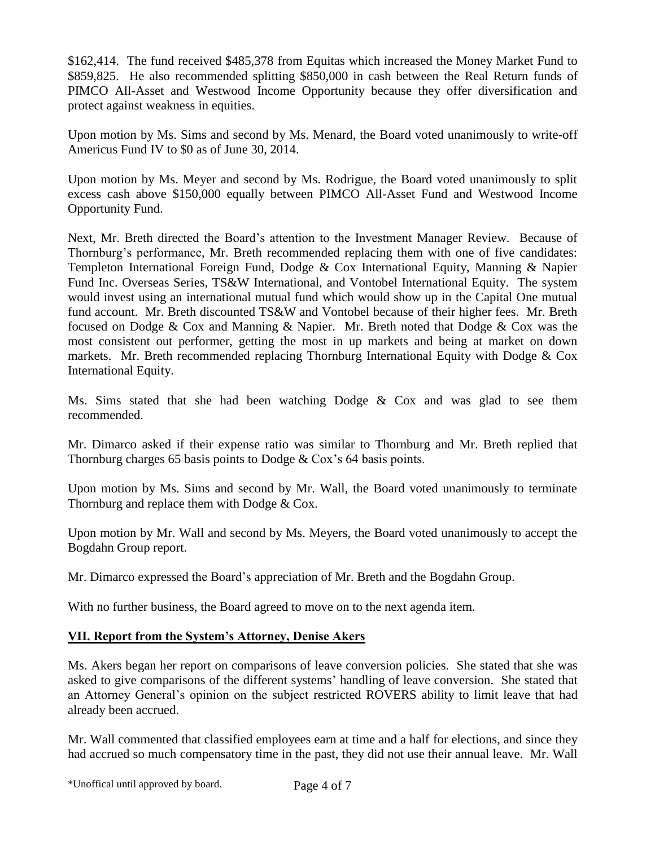\$162,414. The fund received \$485,378 from Equitas which increased the Money Market Fund to \$859,825. He also recommended splitting \$850,000 in cash between the Real Return funds of PIMCO All-Asset and Westwood Income Opportunity because they offer diversification and protect against weakness in equities.

Upon motion by Ms. Sims and second by Ms. Menard, the Board voted unanimously to write-off Americus Fund IV to \$0 as of June 30, 2014.

Upon motion by Ms. Meyer and second by Ms. Rodrigue, the Board voted unanimously to split excess cash above \$150,000 equally between PIMCO All-Asset Fund and Westwood Income Opportunity Fund.

Next, Mr. Breth directed the Board's attention to the Investment Manager Review. Because of Thornburg's performance, Mr. Breth recommended replacing them with one of five candidates: Templeton International Foreign Fund, Dodge & Cox International Equity, Manning & Napier Fund Inc. Overseas Series, TS&W International, and Vontobel International Equity. The system would invest using an international mutual fund which would show up in the Capital One mutual fund account. Mr. Breth discounted TS&W and Vontobel because of their higher fees. Mr. Breth focused on Dodge & Cox and Manning & Napier. Mr. Breth noted that Dodge & Cox was the most consistent out performer, getting the most in up markets and being at market on down markets. Mr. Breth recommended replacing Thornburg International Equity with Dodge & Cox International Equity.

Ms. Sims stated that she had been watching Dodge & Cox and was glad to see them recommended.

Mr. Dimarco asked if their expense ratio was similar to Thornburg and Mr. Breth replied that Thornburg charges 65 basis points to Dodge & Cox's 64 basis points.

Upon motion by Ms. Sims and second by Mr. Wall, the Board voted unanimously to terminate Thornburg and replace them with Dodge & Cox.

Upon motion by Mr. Wall and second by Ms. Meyers, the Board voted unanimously to accept the Bogdahn Group report.

Mr. Dimarco expressed the Board's appreciation of Mr. Breth and the Bogdahn Group.

With no further business, the Board agreed to move on to the next agenda item.

#### **VII. Report from the System's Attorney, Denise Akers**

Ms. Akers began her report on comparisons of leave conversion policies. She stated that she was asked to give comparisons of the different systems' handling of leave conversion. She stated that an Attorney General's opinion on the subject restricted ROVERS ability to limit leave that had already been accrued.

Mr. Wall commented that classified employees earn at time and a half for elections, and since they had accrued so much compensatory time in the past, they did not use their annual leave. Mr. Wall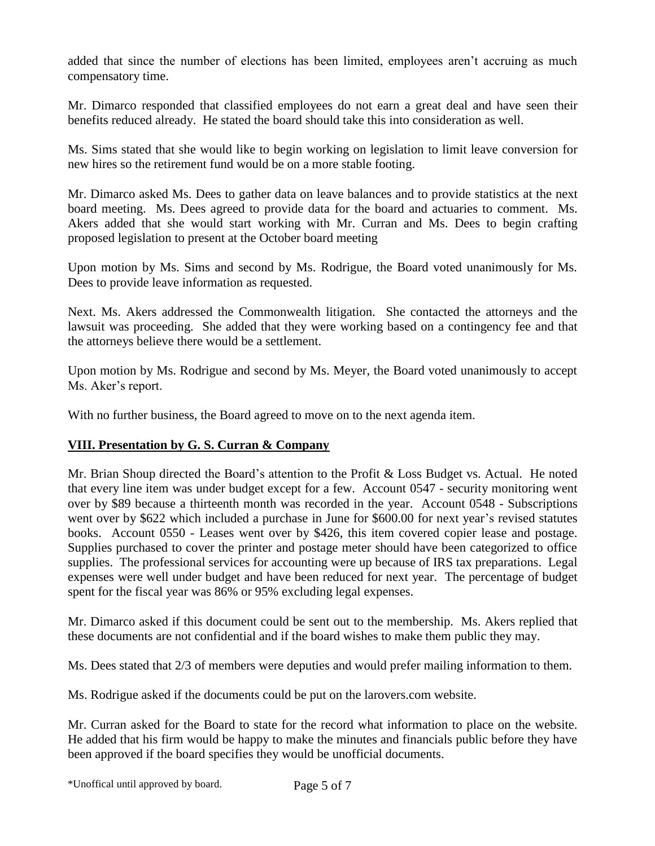added that since the number of elections has been limited, employees aren't accruing as much compensatory time.

Mr. Dimarco responded that classified employees do not earn a great deal and have seen their benefits reduced already. He stated the board should take this into consideration as well.

Ms. Sims stated that she would like to begin working on legislation to limit leave conversion for new hires so the retirement fund would be on a more stable footing.

Mr. Dimarco asked Ms. Dees to gather data on leave balances and to provide statistics at the next board meeting. Ms. Dees agreed to provide data for the board and actuaries to comment. Ms. Akers added that she would start working with Mr. Curran and Ms. Dees to begin crafting proposed legislation to present at the October board meeting

Upon motion by Ms. Sims and second by Ms. Rodrigue, the Board voted unanimously for Ms. Dees to provide leave information as requested.

Next. Ms. Akers addressed the Commonwealth litigation. She contacted the attorneys and the lawsuit was proceeding. She added that they were working based on a contingency fee and that the attorneys believe there would be a settlement.

Upon motion by Ms. Rodrigue and second by Ms. Meyer, the Board voted unanimously to accept Ms. Aker's report.

With no further business, the Board agreed to move on to the next agenda item.

# **VIII. Presentation by G. S. Curran & Company**

Mr. Brian Shoup directed the Board's attention to the Profit & Loss Budget vs. Actual. He noted that every line item was under budget except for a few. Account 0547 - security monitoring went over by \$89 because a thirteenth month was recorded in the year. Account 0548 - Subscriptions went over by \$622 which included a purchase in June for \$600.00 for next year's revised statutes books. Account 0550 - Leases went over by \$426, this item covered copier lease and postage. Supplies purchased to cover the printer and postage meter should have been categorized to office supplies. The professional services for accounting were up because of IRS tax preparations. Legal expenses were well under budget and have been reduced for next year. The percentage of budget spent for the fiscal year was 86% or 95% excluding legal expenses.

Mr. Dimarco asked if this document could be sent out to the membership. Ms. Akers replied that these documents are not confidential and if the board wishes to make them public they may.

Ms. Dees stated that 2/3 of members were deputies and would prefer mailing information to them.

Ms. Rodrigue asked if the documents could be put on the larovers.com website.

Mr. Curran asked for the Board to state for the record what information to place on the website. He added that his firm would be happy to make the minutes and financials public before they have been approved if the board specifies they would be unofficial documents.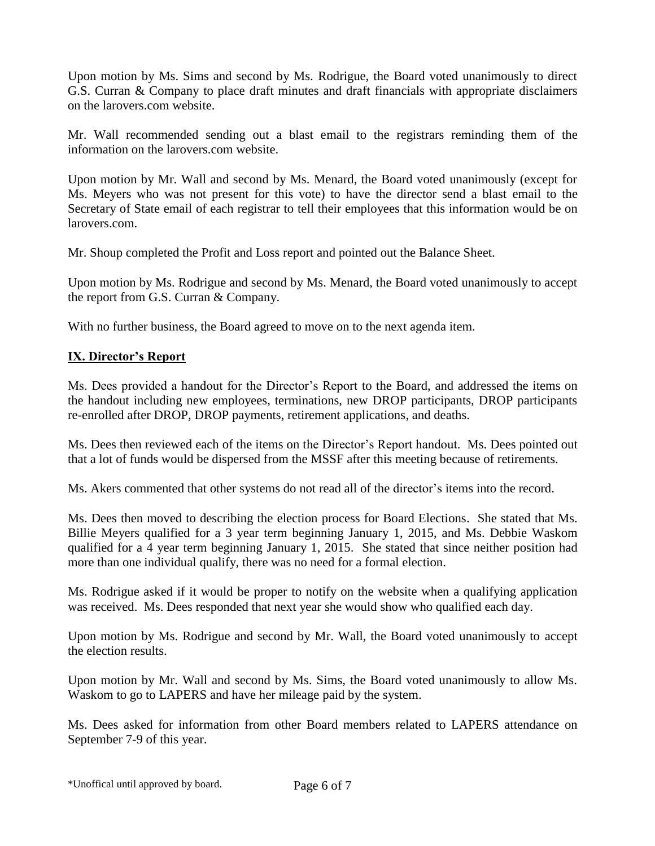Upon motion by Ms. Sims and second by Ms. Rodrigue, the Board voted unanimously to direct G.S. Curran & Company to place draft minutes and draft financials with appropriate disclaimers on the larovers.com website.

Mr. Wall recommended sending out a blast email to the registrars reminding them of the information on the larovers.com website.

Upon motion by Mr. Wall and second by Ms. Menard, the Board voted unanimously (except for Ms. Meyers who was not present for this vote) to have the director send a blast email to the Secretary of State email of each registrar to tell their employees that this information would be on larovers.com.

Mr. Shoup completed the Profit and Loss report and pointed out the Balance Sheet.

Upon motion by Ms. Rodrigue and second by Ms. Menard, the Board voted unanimously to accept the report from G.S. Curran & Company.

With no further business, the Board agreed to move on to the next agenda item.

# **IX. Director's Report**

Ms. Dees provided a handout for the Director's Report to the Board, and addressed the items on the handout including new employees, terminations, new DROP participants, DROP participants re-enrolled after DROP, DROP payments, retirement applications, and deaths.

Ms. Dees then reviewed each of the items on the Director's Report handout. Ms. Dees pointed out that a lot of funds would be dispersed from the MSSF after this meeting because of retirements.

Ms. Akers commented that other systems do not read all of the director's items into the record.

Ms. Dees then moved to describing the election process for Board Elections. She stated that Ms. Billie Meyers qualified for a 3 year term beginning January 1, 2015, and Ms. Debbie Waskom qualified for a 4 year term beginning January 1, 2015. She stated that since neither position had more than one individual qualify, there was no need for a formal election.

Ms. Rodrigue asked if it would be proper to notify on the website when a qualifying application was received. Ms. Dees responded that next year she would show who qualified each day.

Upon motion by Ms. Rodrigue and second by Mr. Wall, the Board voted unanimously to accept the election results.

Upon motion by Mr. Wall and second by Ms. Sims, the Board voted unanimously to allow Ms. Waskom to go to LAPERS and have her mileage paid by the system.

Ms. Dees asked for information from other Board members related to LAPERS attendance on September 7-9 of this year.

\*Unoffical until approved by board. Page 6 of 7